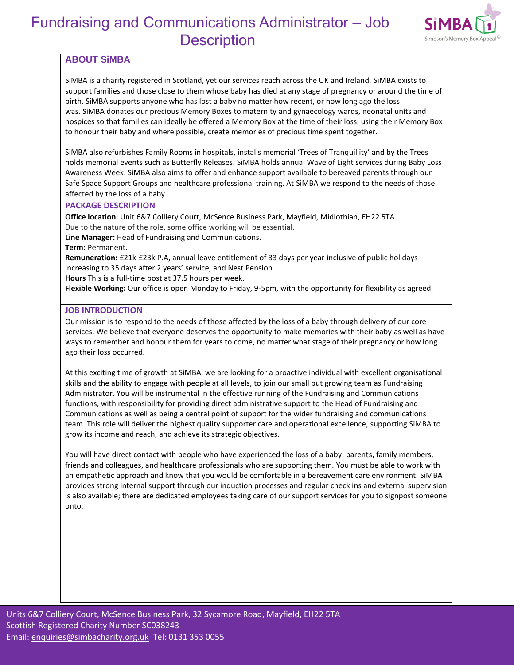

### **ABOUT SiMBA**

SiMBA is a charity registered in Scotland, yet our services reach across the UK and Ireland. SiMBA exists to support families and those close to them whose baby has died at any stage of pregnancy or around the time of birth. SiMBA supports anyone who has lost a baby no matter how recent, or how long ago the loss was. SiMBA donates our precious Memory Boxes to maternity and gynaecology wards, neonatal units and hospices so that families can ideally be offered a Memory Box at the time of their loss, using their Memory Box to honour their baby and where possible, create memories of precious time spent together.

SiMBA also refurbishes Family Rooms in hospitals, installs memorial 'Trees of Tranquillity' and by the Trees holds memorial events such as Butterfly Releases. SiMBA holds annual Wave of Light services during Baby Loss Awareness Week. SiMBA also aims to offer and enhance support available to bereaved parents through our Safe Space Support Groups and healthcare professional training. At SiMBA we respond to the needs of those affected by the loss of a baby.

#### **PACKAGE DESCRIPTION**

**Office location**: Unit 6&7 Colliery Court, McSence Business Park, Mayfield, Midlothian, EH22 5TA Due to the nature of the role, some office working will be essential.

**Line Manager:** Head of Fundraising and Communications.

**Term:** Permanent.

**Remuneration:** £21k-£23k P.A, annual leave entitlement of 33 days per year inclusive of public holidays increasing to 35 days after 2 years' service, and Nest Pension.

**Hours** This is a full-time post at 37.5 hours per week.

**Flexible Working:** Our office is open Monday to Friday, 9-5pm, with the opportunity for flexibility as agreed.

#### **JOB INTRODUCTION**

Our mission is to respond to the needs of those affected by the loss of a baby through delivery of our core services. We believe that everyone deserves the opportunity to make memories with their baby as well as have ways to remember and honour them for years to come, no matter what stage of their pregnancy or how long ago their loss occurred.

At this exciting time of growth at SiMBA, we are looking for a proactive individual with excellent organisational skills and the ability to engage with people at all levels, to join our small but growing team as Fundraising Administrator. You will be instrumental in the effective running of the Fundraising and Communications functions, with responsibility for providing direct administrative support to the Head of Fundraising and Communications as well as being a central point of support for the wider fundraising and communications team. This role will deliver the highest quality supporter care and operational excellence, supporting SiMBA to grow its income and reach, and achieve its strategic objectives.

You will have direct contact with people who have experienced the loss of a baby; parents, family members, friends and colleagues, and healthcare professionals who are supporting them. You must be able to work with an empathetic approach and know that you would be comfortable in a bereavement care environment. SiMBA provides strong internal support through our induction processes and regular check ins and external supervision is also available; there are dedicated employees taking care of our support services for you to signpost someone onto.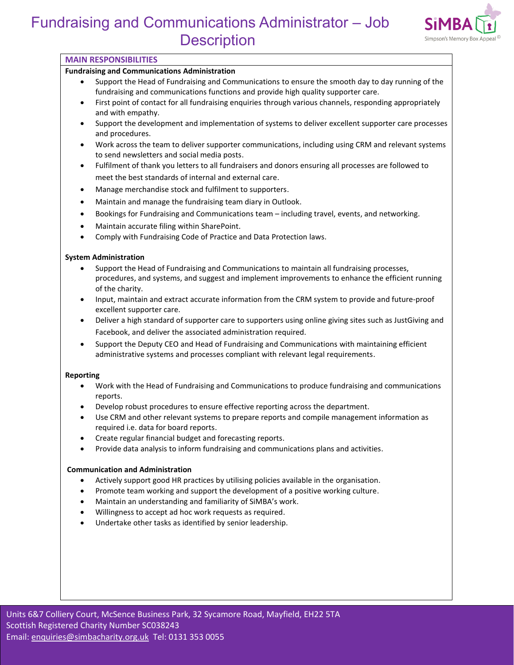

#### **MAIN RESPONSIBILITIES**

#### **Fundraising and Communications Administration**

- Support the Head of Fundraising and Communications to ensure the smooth day to day running of the fundraising and communications functions and provide high quality supporter care.
- First point of contact for all fundraising enquiries through various channels, responding appropriately and with empathy.
- Support the development and implementation of systems to deliver excellent supporter care processes and procedures.
- Work across the team to deliver supporter communications, including using CRM and relevant systems to send newsletters and social media posts.
- Fulfilment of thank you letters to all fundraisers and donors ensuring all processes are followed to meet the best standards of internal and external care.
- Manage merchandise stock and fulfilment to supporters.
- Maintain and manage the fundraising team diary in Outlook.
- Bookings for Fundraising and Communications team including travel, events, and networking.
- Maintain accurate filing within SharePoint.
- Comply with Fundraising Code of Practice and Data Protection laws.

#### **System Administration**

- Support the Head of Fundraising and Communications to maintain all fundraising processes, procedures, and systems, and suggest and implement improvements to enhance the efficient running of the charity.
- Input, maintain and extract accurate information from the CRM system to provide and future-proof excellent supporter care.
- Deliver a high standard of supporter care to supporters using online giving sites such as JustGiving and Facebook, and deliver the associated administration required.
- Support the Deputy CEO and Head of Fundraising and Communications with maintaining efficient administrative systems and processes compliant with relevant legal requirements.

#### **Reporting**

- Work with the Head of Fundraising and Communications to produce fundraising and communications reports.
- Develop robust procedures to ensure effective reporting across the department.
- Use CRM and other relevant systems to prepare reports and compile management information as required i.e. data for board reports.
- Create regular financial budget and forecasting reports.
- Provide data analysis to inform fundraising and communications plans and activities.

#### **Communication and Administration**

- Actively support good HR practices by utilising policies available in the organisation.
- Promote team working and support the development of a positive working culture.
- Maintain an understanding and familiarity of SiMBA's work.
- Willingness to accept ad hoc work requests as required.
- Undertake other tasks as identified by senior leadership.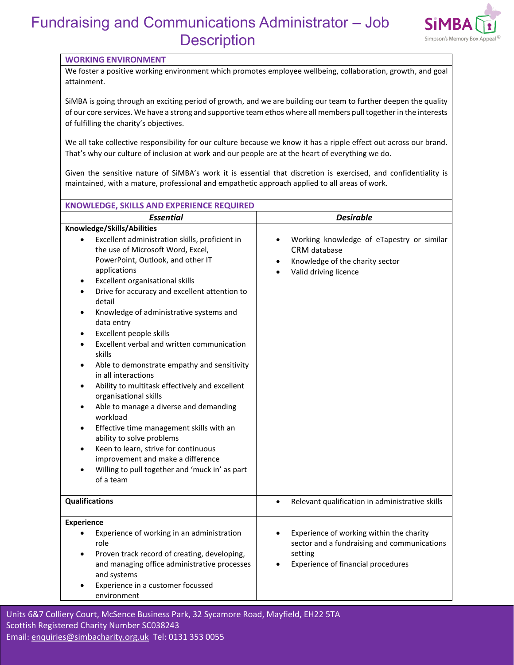

#### **WORKING ENVIRONMENT**

We foster a positive working environment which promotes employee wellbeing, collaboration, growth, and goal attainment.

SiMBA is going through an exciting period of growth, and we are building our team to further deepen the quality of our core services. We have a strong and supportive team ethos where all members pull together in the interests of fulfilling the charity's objectives.

We all take collective responsibility for our culture because we know it has a ripple effect out across our brand. That's why our culture of inclusion at work and our people are at the heart of everything we do.

Given the sensitive nature of SiMBA's work it is essential that discretion is exercised, and confidentiality is maintained, with a mature, professional and empathetic approach applied to all areas of work.

| KNOWLEDGE, SKILLS AND EXPERIENCE REQUIRED                                                                                                                                                                                                                                                                                                                                                                                                                                                                                                                                                                                                                                                                                                                                                                                                                                                                                                                                           |                                                                                                                                                       |
|-------------------------------------------------------------------------------------------------------------------------------------------------------------------------------------------------------------------------------------------------------------------------------------------------------------------------------------------------------------------------------------------------------------------------------------------------------------------------------------------------------------------------------------------------------------------------------------------------------------------------------------------------------------------------------------------------------------------------------------------------------------------------------------------------------------------------------------------------------------------------------------------------------------------------------------------------------------------------------------|-------------------------------------------------------------------------------------------------------------------------------------------------------|
| <b>Essential</b>                                                                                                                                                                                                                                                                                                                                                                                                                                                                                                                                                                                                                                                                                                                                                                                                                                                                                                                                                                    | <b>Desirable</b>                                                                                                                                      |
| Knowledge/Skills/Abilities<br>Excellent administration skills, proficient in<br>the use of Microsoft Word, Excel,<br>PowerPoint, Outlook, and other IT<br>applications<br>Excellent organisational skills<br>$\bullet$<br>Drive for accuracy and excellent attention to<br>$\bullet$<br>detail<br>Knowledge of administrative systems and<br>$\bullet$<br>data entry<br>Excellent people skills<br>$\bullet$<br>Excellent verbal and written communication<br>$\bullet$<br>skills<br>Able to demonstrate empathy and sensitivity<br>$\bullet$<br>in all interactions<br>Ability to multitask effectively and excellent<br>$\bullet$<br>organisational skills<br>Able to manage a diverse and demanding<br>٠<br>workload<br>Effective time management skills with an<br>$\bullet$<br>ability to solve problems<br>Keen to learn, strive for continuous<br>$\bullet$<br>improvement and make a difference<br>Willing to pull together and 'muck in' as part<br>$\bullet$<br>of a team | Working knowledge of eTapestry or similar<br><b>CRM</b> database<br>Knowledge of the charity sector<br>$\bullet$<br>Valid driving licence             |
| <b>Qualifications</b>                                                                                                                                                                                                                                                                                                                                                                                                                                                                                                                                                                                                                                                                                                                                                                                                                                                                                                                                                               | Relevant qualification in administrative skills<br>$\bullet$                                                                                          |
| <b>Experience</b><br>Experience of working in an administration<br>$\bullet$<br>role<br>Proven track record of creating, developing,<br>$\bullet$<br>and managing office administrative processes<br>and systems<br>Experience in a customer focussed<br>environment                                                                                                                                                                                                                                                                                                                                                                                                                                                                                                                                                                                                                                                                                                                | Experience of working within the charity<br>$\bullet$<br>sector and a fundraising and communications<br>setting<br>Experience of financial procedures |

Units 6&7 Court, McCentery Court, McCenter, SCOS8243 Sycamore Road, Mayfield, EH22 5TA Sycamore Road, Mayfield, EH22 5TA Sycamore Road, Mayfield, EH22 5TA Sycamore Road, Mayfield, EH22 5TA Sycamore Road, Mayfield, EH22 5TA Email: [enquiries@simbacharity.org.uk](mailto:enquiries@simbacharity.org.uk) Tel: 0131 353 0055 Units 6&7 Colliery Court, McSence Business Park, 32 Sycamore Road, Mayfield, EH22 5TA